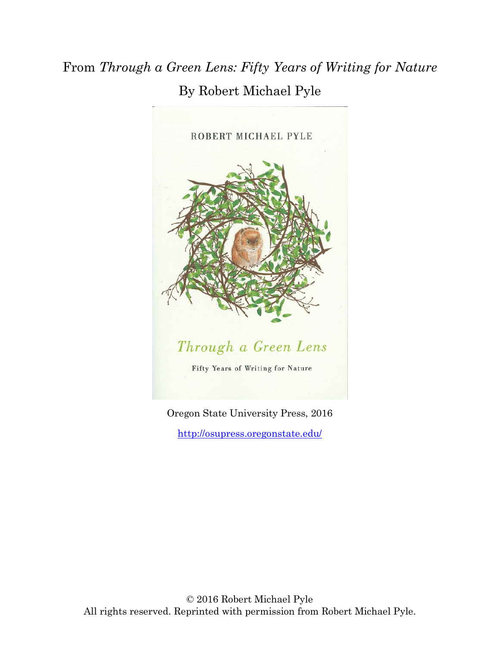## From *Through a Green Lens: Fifty Years of Writing for Nature* By Robert Michael Pyle



Oregon State University Press, 2016 <http://osupress.oregonstate.edu/>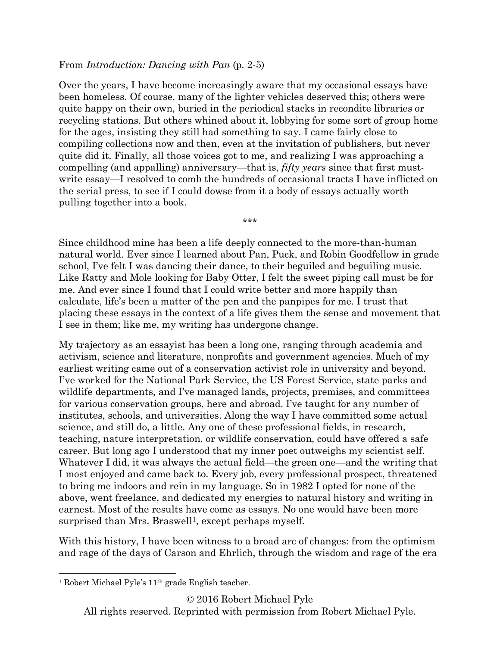## From *Introduction: Dancing with Pan* (p. 2-5)

Over the years, I have become increasingly aware that my occasional essays have been homeless. Of course, many of the lighter vehicles deserved this; others were quite happy on their own, buried in the periodical stacks in recondite libraries or recycling stations. But others whined about it, lobbying for some sort of group home for the ages, insisting they still had something to say. I came fairly close to compiling collections now and then, even at the invitation of publishers, but never quite did it. Finally, all those voices got to me, and realizing I was approaching a compelling (and appalling) anniversary—that is, *fifty years* since that first mustwrite essay—I resolved to comb the hundreds of occasional tracts I have inflicted on the serial press, to see if I could dowse from it a body of essays actually worth pulling together into a book.

Since childhood mine has been a life deeply connected to the more-than-human natural world. Ever since I learned about Pan, Puck, and Robin Goodfellow in grade school, I've felt I was dancing their dance, to their beguiled and beguiling music. Like Ratty and Mole looking for Baby Otter, I felt the sweet piping call must be for me. And ever since I found that I could write better and more happily than calculate, life's been a matter of the pen and the panpipes for me. I trust that placing these essays in the context of a life gives them the sense and movement that I see in them; like me, my writing has undergone change.

\*\*\*

My trajectory as an essayist has been a long one, ranging through academia and activism, science and literature, nonprofits and government agencies. Much of my earliest writing came out of a conservation activist role in university and beyond. I've worked for the National Park Service, the US Forest Service, state parks and wildlife departments, and I've managed lands, projects, premises, and committees for various conservation groups, here and abroad. I've taught for any number of institutes, schools, and universities. Along the way I have committed some actual science, and still do, a little. Any one of these professional fields, in research, teaching, nature interpretation, or wildlife conservation, could have offered a safe career. But long ago I understood that my inner poet outweighs my scientist self. Whatever I did, it was always the actual field—the green one—and the writing that I most enjoyed and came back to. Every job, every professional prospect, threatened to bring me indoors and rein in my language. So in 1982 I opted for none of the above, went freelance, and dedicated my energies to natural history and writing in earnest. Most of the results have come as essays. No one would have been more surprised than Mrs. Braswell<sup>[1](#page-1-0)</sup>, except perhaps myself.

With this history, I have been witness to a broad arc of changes: from the optimism and rage of the days of Carson and Ehrlich, through the wisdom and rage of the era

© 2016 Robert Michael Pyle

All rights reserved. Reprinted with permission from Robert Michael Pyle.

<span id="page-1-0"></span><sup>1</sup> Robert Michael Pyle's 11th grade English teacher. l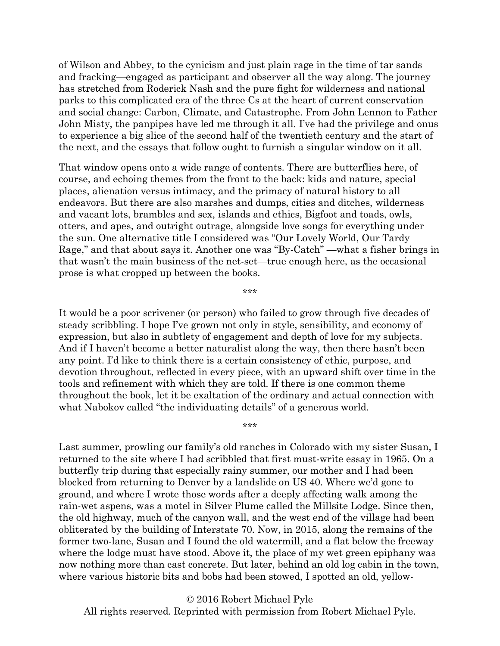of Wilson and Abbey, to the cynicism and just plain rage in the time of tar sands and fracking—engaged as participant and observer all the way along. The journey has stretched from Roderick Nash and the pure fight for wilderness and national parks to this complicated era of the three Cs at the heart of current conservation and social change: Carbon, Climate, and Catastrophe. From John Lennon to Father John Misty, the panpipes have led me through it all. I've had the privilege and onus to experience a big slice of the second half of the twentieth century and the start of the next, and the essays that follow ought to furnish a singular window on it all.

That window opens onto a wide range of contents. There are butterflies here, of course, and echoing themes from the front to the back: kids and nature, special places, alienation versus intimacy, and the primacy of natural history to all endeavors. But there are also marshes and dumps, cities and ditches, wilderness and vacant lots, brambles and sex, islands and ethics, Bigfoot and toads, owls, otters, and apes, and outright outrage, alongside love songs for everything under the sun. One alternative title I considered was "Our Lovely World, Our Tardy Rage," and that about says it. Another one was "By-Catch" —what a fisher brings in that wasn't the main business of the net-set—true enough here, as the occasional prose is what cropped up between the books.

\*\*\*

It would be a poor scrivener (or person) who failed to grow through five decades of steady scribbling. I hope I've grown not only in style, sensibility, and economy of expression, but also in subtlety of engagement and depth of love for my subjects. And if I haven't become a better naturalist along the way, then there hasn't been any point. I'd like to think there is a certain consistency of ethic, purpose, and devotion throughout, reflected in every piece, with an upward shift over time in the tools and refinement with which they are told. If there is one common theme throughout the book, let it be exaltation of the ordinary and actual connection with what Nabokov called "the individuating details" of a generous world.

\*\*\*

Last summer, prowling our family's old ranches in Colorado with my sister Susan, I returned to the site where I had scribbled that first must-write essay in 1965. On a butterfly trip during that especially rainy summer, our mother and I had been blocked from returning to Denver by a landslide on US 40. Where we'd gone to ground, and where I wrote those words after a deeply affecting walk among the rain-wet aspens, was a motel in Silver Plume called the Millsite Lodge. Since then, the old highway, much of the canyon wall, and the west end of the village had been obliterated by the building of Interstate 70. Now, in 2015, along the remains of the former two-lane, Susan and I found the old watermill, and a flat below the freeway where the lodge must have stood. Above it, the place of my wet green epiphany was now nothing more than cast concrete. But later, behind an old log cabin in the town, where various historic bits and bobs had been stowed, I spotted an old, yellow-

© 2016 Robert Michael Pyle All rights reserved. Reprinted with permission from Robert Michael Pyle.